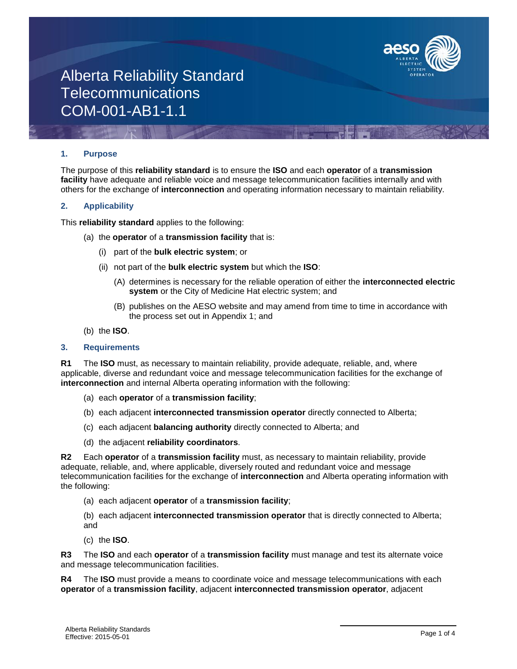

### **1. Purpose**

The purpose of this **reliability standard** is to ensure the **ISO** and each **operator** of a **transmission facility** have adequate and reliable voice and message telecommunication facilities internally and with others for the exchange of **interconnection** and operating information necessary to maintain reliability.

### **2. Applicability**

This **reliability standard** applies to the following:

- (a) the **operator** of a **transmission facility** that is:
	- (i) part of the **bulk electric system**; or
	- (ii) not part of the **bulk electric system** but which the **ISO**:
		- (A) determines is necessary for the reliable operation of either the **interconnected electric system** or the City of Medicine Hat electric system; and
		- (B) publishes on the AESO website and may amend from time to time in accordance with the process set out in Appendix 1; and
- (b) the **ISO**.

### **3. Requirements**

**R1** The **ISO** must, as necessary to maintain reliability, provide adequate, reliable, and, where applicable, diverse and redundant voice and message telecommunication facilities for the exchange of **interconnection** and internal Alberta operating information with the following:

- (a) each **operator** of a **transmission facility**;
- (b) each adjacent **interconnected transmission operator** directly connected to Alberta;
- (c) each adjacent **balancing authority** directly connected to Alberta; and
- (d) the adjacent **reliability coordinators**.

**R2** Each **operator** of a **transmission facility** must, as necessary to maintain reliability, provide adequate, reliable, and, where applicable, diversely routed and redundant voice and message telecommunication facilities for the exchange of **interconnection** and Alberta operating information with the following:

- (a) each adjacent **operator** of a **transmission facility**;
- (b) each adjacent **interconnected transmission operator** that is directly connected to Alberta; and
- (c) the **ISO**.

**R3** The **ISO** and each **operator** of a **transmission facility** must manage and test its alternate voice and message telecommunication facilities.

**R4** The **ISO** must provide a means to coordinate voice and message telecommunications with each **operator** of a **transmission facility**, adjacent **interconnected transmission operator**, adjacent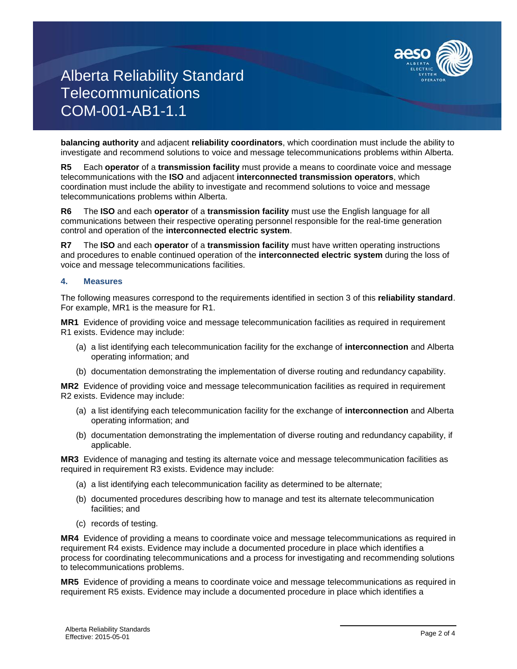

**balancing authority** and adjacent **reliability coordinators**, which coordination must include the ability to investigate and recommend solutions to voice and message telecommunications problems within Alberta.

**R5** Each **operator** of a **transmission facility** must provide a means to coordinate voice and message telecommunications with the **ISO** and adjacent **interconnected transmission operators**, which coordination must include the ability to investigate and recommend solutions to voice and message telecommunications problems within Alberta.

**R6** The **ISO** and each **operator** of a **transmission facility** must use the English language for all communications between their respective operating personnel responsible for the real-time generation control and operation of the **interconnected electric system**.

**R7** The **ISO** and each **operator** of a **transmission facility** must have written operating instructions and procedures to enable continued operation of the **interconnected electric system** during the loss of voice and message telecommunications facilities.

### **4. Measures**

The following measures correspond to the requirements identified in section 3 of this **reliability standard**. For example, MR1 is the measure for R1.

**MR1** Evidence of providing voice and message telecommunication facilities as required in requirement R1 exists. Evidence may include:

- (a) a list identifying each telecommunication facility for the exchange of **interconnection** and Alberta operating information; and
- (b) documentation demonstrating the implementation of diverse routing and redundancy capability.

**MR2** Evidence of providing voice and message telecommunication facilities as required in requirement R2 exists. Evidence may include:

- (a) a list identifying each telecommunication facility for the exchange of **interconnection** and Alberta operating information; and
- (b) documentation demonstrating the implementation of diverse routing and redundancy capability, if applicable.

**MR3** Evidence of managing and testing its alternate voice and message telecommunication facilities as required in requirement R3 exists. Evidence may include:

- (a) a list identifying each telecommunication facility as determined to be alternate;
- (b) documented procedures describing how to manage and test its alternate telecommunication facilities; and
- (c) records of testing.

**MR4** Evidence of providing a means to coordinate voice and message telecommunications as required in requirement R4 exists. Evidence may include a documented procedure in place which identifies a process for coordinating telecommunications and a process for investigating and recommending solutions to telecommunications problems.

**MR5** Evidence of providing a means to coordinate voice and message telecommunications as required in requirement R5 exists. Evidence may include a documented procedure in place which identifies a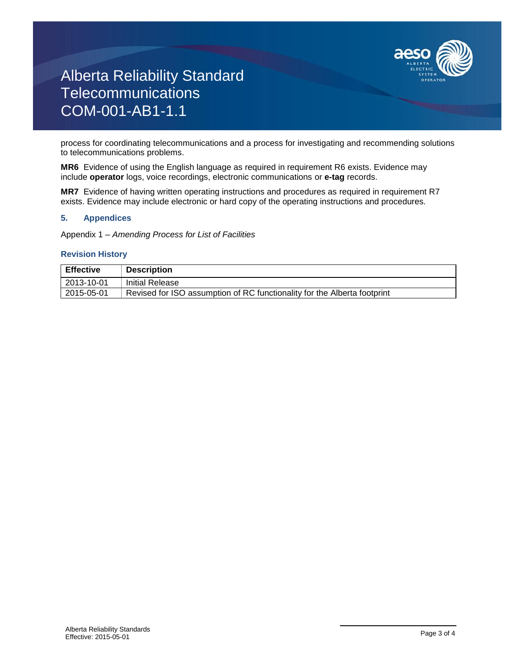

process for coordinating telecommunications and a process for investigating and recommending solutions to telecommunications problems.

**MR6** Evidence of using the English language as required in requirement R6 exists. Evidence may include **operator** logs, voice recordings, electronic communications or **e-tag** records.

**MR7** Evidence of having written operating instructions and procedures as required in requirement R7 exists. Evidence may include electronic or hard copy of the operating instructions and procedures.

## **5. Appendices**

Appendix 1 – *Amending Process for List of Facilities*

### **Revision History**

| <b>Effective</b> | <b>Description</b>                                                       |
|------------------|--------------------------------------------------------------------------|
| 2013-10-01       | Initial Release                                                          |
| 2015-05-01       | Revised for ISO assumption of RC functionality for the Alberta footprint |